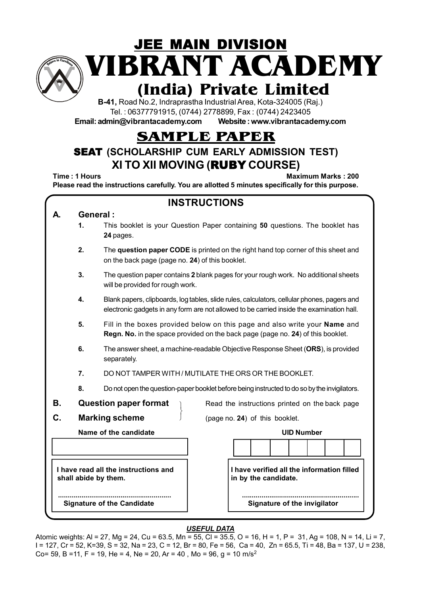

**VIBRANT ACADEMY JEE MAIN DIVISION** 

# **(India) Private Limited**

**B-41,** Road No.2, Indraprastha Industrial Area, Kota-324005 (Raj.) Tel. : 06377791915, (0744) 2778899, Fax : (0744) 2423405

**Email: admin@vibrantacademy.com Website : www.vibrantacademy.com**

## **SAMPLE PAPER**

### SEAT **(SCHOLARSHIP CUM EARLY ADMISSION TEST) XI TO XII MOVING (**RUBY **COURSE)**

**Time : 1 Hours Maximum Marks : 200** 

**Please read the instructions carefully. You are allotted 5 minutes specifically for this purpose.**

|    |                                                                                                                                            | <b>INSTRUCTIONS</b>                                                                                                                                                                      |  |  |  |  |  |  |  |  |  |  |
|----|--------------------------------------------------------------------------------------------------------------------------------------------|------------------------------------------------------------------------------------------------------------------------------------------------------------------------------------------|--|--|--|--|--|--|--|--|--|--|
|    |                                                                                                                                            | General:                                                                                                                                                                                 |  |  |  |  |  |  |  |  |  |  |
|    | 1.                                                                                                                                         | This booklet is your Question Paper containing 50 questions. The booklet has<br>24 pages.                                                                                                |  |  |  |  |  |  |  |  |  |  |
|    | 2.<br>The question paper CODE is printed on the right hand top corner of this sheet and<br>on the back page (page no. 24) of this booklet. |                                                                                                                                                                                          |  |  |  |  |  |  |  |  |  |  |
|    | 3.                                                                                                                                         | The question paper contains 2 blank pages for your rough work. No additional sheets<br>will be provided for rough work.                                                                  |  |  |  |  |  |  |  |  |  |  |
|    | 4.                                                                                                                                         | Blank papers, clipboards, log tables, slide rules, calculators, cellular phones, pagers and<br>electronic gadgets in any form are not allowed to be carried inside the examination hall. |  |  |  |  |  |  |  |  |  |  |
|    | 5.                                                                                                                                         | Fill in the boxes provided below on this page and also write your Name and<br>Regn. No. in the space provided on the back page (page no. 24) of this booklet.                            |  |  |  |  |  |  |  |  |  |  |
|    | 6.<br>The answer sheet, a machine-readable Objective Response Sheet (ORS), is provided<br>separately.                                      |                                                                                                                                                                                          |  |  |  |  |  |  |  |  |  |  |
|    | 7.                                                                                                                                         | DO NOT TAMPER WITH / MUTILATE THE ORS OR THE BOOKLET.                                                                                                                                    |  |  |  |  |  |  |  |  |  |  |
|    | 8.                                                                                                                                         | Do not open the question-paper booklet before being instructed to do so by the invigilators.                                                                                             |  |  |  |  |  |  |  |  |  |  |
| В. |                                                                                                                                            | <b>Question paper format</b><br>Read the instructions printed on the back page                                                                                                           |  |  |  |  |  |  |  |  |  |  |
| C. |                                                                                                                                            | <b>Marking scheme</b><br>(page no. 24) of this booklet.                                                                                                                                  |  |  |  |  |  |  |  |  |  |  |
|    |                                                                                                                                            | Name of the candidate<br><b>UID Number</b>                                                                                                                                               |  |  |  |  |  |  |  |  |  |  |
|    |                                                                                                                                            |                                                                                                                                                                                          |  |  |  |  |  |  |  |  |  |  |
|    |                                                                                                                                            | I have verified all the information filled<br>I have read all the instructions and<br>in by the candidate.<br>shall abide by them.                                                       |  |  |  |  |  |  |  |  |  |  |
|    |                                                                                                                                            | Signature of the invigilator<br><b>Signature of the Candidate</b>                                                                                                                        |  |  |  |  |  |  |  |  |  |  |

#### *USEFUL DATA*

Atomic weights: Al = 27, Mg = 24, Cu = 63.5, Mn = 55, Cl = 35.5, O = 16, H = 1, P = 31, Ag = 108, N = 14, Li = 7, I = 127, Cr = 52, K=39, S = 32, Na = 23, C = 12, Br = 80, Fe = 56, Ca = 40, Zn = 65.5, Ti = 48, Ba = 137, U = 238, Co= 59, B =11, F = 19, He = 4, Ne = 20, Ar = 40, Mo = 96, q = 10 m/s<sup>2</sup>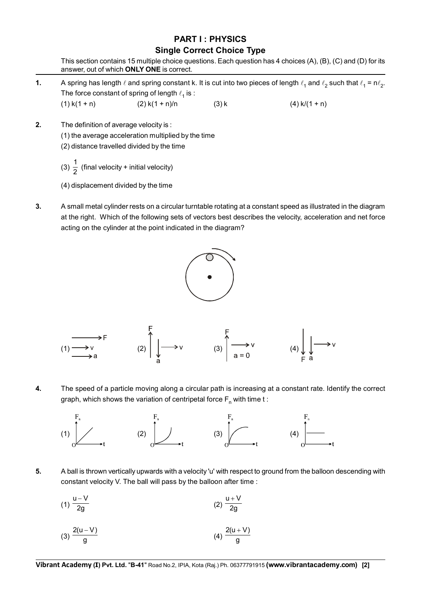#### **PART I : PHYSICS Single Correct Choice Type**

This section contains 15 multiple choice questions. Each question has 4 choices (A), (B), (C) and (D) for its answer, out of which **ONLY ONE** is correct.

- **1.** A spring has length  $\ell$  and spring constant k. It is cut into two pieces of length  $\ell_1$  and  $\ell_2$  such that  $\ell_1 = n\ell_2$ . The force constant of spring of length  $\ell_1$  is : (1) k(1 + n) (2) k(1 + n)/n (3) k (4) k/(1 + n)
- **2.** The definition of average velocity is :
	- (1) the average acceleration multiplied by the time
	- (2) distance travelled divided by the time
	- (3)  $\frac{1}{2}$  (final velocity + initial velocity)
	- (4) displacement divided by the time
- **3.** A small metal cylinder rests on a circular turntable rotating at a constant speed as illustrated in the diagram at the right. Which of the following sets of vectors best describes the velocity, acceleration and net force acting on the cylinder at the point indicated in the diagram?





**4.** The speed of a particle moving along a circular path is increasing at a constant rate. Identify the correct graph, which shows the variation of centripetal force  $F_n$  with time t:



**5.** A ball is thrown vertically upwards with a velocity 'u' with respect to ground from the balloon descending with constant velocity V. The ball will pass by the balloon after time :

$$
(1) \frac{u-V}{2g} \qquad (2) \frac{u+V}{2g}
$$

(3) 
$$
\frac{2(u-V)}{g}
$$
 (4)  $\frac{2(u+V)}{g}$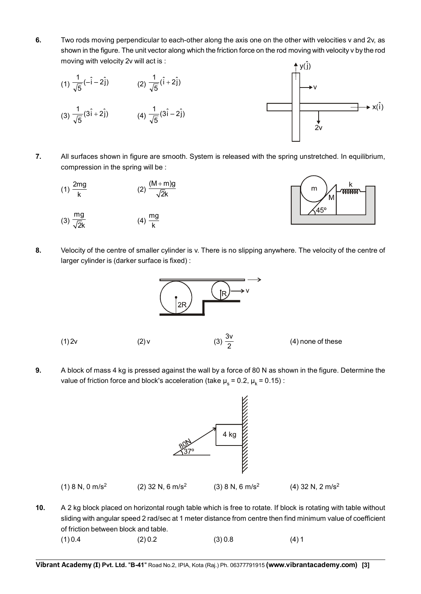**6.** Two rods moving perpendicular to each-other along the axis one on the other with velocities v and 2v, as shown in the figure. The unit vector along which the friction force on the rod moving with velocity v by the rod moving with velocity 2v will act is :



- **7.** All surfaces shown in figure are smooth. System is released with the spring unstretched. In equilibrium, compression in the spring will be :
	- (1)  $\frac{2mg}{l}$  $\frac{mg}{k}$  (2)  $\frac{(M+m)g}{\sqrt{2}k}$ +
	- (3)  $\frac{mg}{\sqrt{2k}}$  $\frac{19}{2k}$  (4)  $\frac{mg}{k}$



**8.** Velocity of the centre of smaller cylinder is v. There is no slipping anywhere. The velocity of the centre of larger cylinder is (darker surface is fixed) :



(4) none of these

**9.** A block of mass 4 kg is pressed against the wall by a force of 80 N as shown in the figure. Determine the value of friction force and block's acceleration (take  $\mu_s = 0.2$ ,  $\mu_k = 0.15$ ) :



**10.** A 2 kg block placed on horizontal rough table which is free to rotate. If block is rotating with table without sliding with angular speed 2 rad/sec at 1 meter distance from centre then find minimum value of coefficient of friction between block and table.

| (1) 0.4 | (2) 0.2 | (3) 0.8 | (4)1 |
|---------|---------|---------|------|
|         |         |         |      |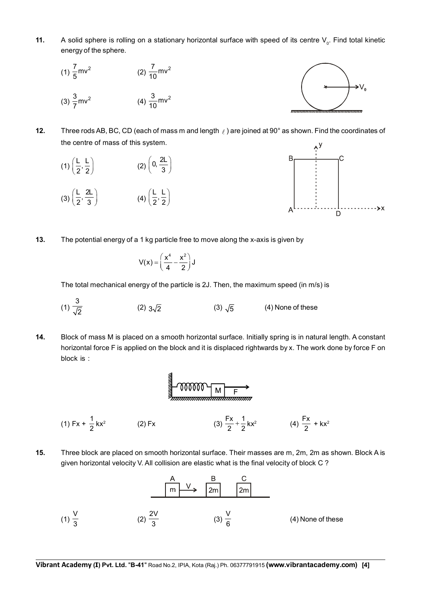**11.** A solid sphere is rolling on a stationary horizontal surface with speed of its centre V<sub>0</sub>. Find total kinetic energy of the sphere.



- **12.** Three rods AB, BC, CD (each of mass m and length  $\ell$ ) are joined at 90 $^{\circ}$  as shown. Find the coordinates of the centre of mass of this system.
	- (1)  $\left(\frac{L}{2}, \frac{L}{2}\right)$  (2)  $\left(0, \frac{2L}{3}\right)$
	- (3)  $\left(\frac{L}{2}, \frac{2L}{3}\right)$  (4)  $\left(\frac{L}{2}, \frac{L}{2}\right)$



**13.** The potential energy of a 1 kg particle free to move along the x-axis is given by

$$
V(x) = \left(\frac{x^4}{4} - \frac{x^2}{2}\right) J
$$

The total mechanical energy of the particle is 2J. Then, the maximum speed (in m/s) is

- (1) 3 (2)  $3\sqrt{2}$  (3)  $\sqrt{5}$  (4) None of these
- **14.** Block of mass M is placed on a smooth horizontal surface. Initially spring is in natural length. A constant horizontal force F is applied on the block and it is displaced rightwards by x. The work done by force F on block is :



**15.** Three block are placed on smooth horizontal surface. Their masses are m, 2m, 2m as shown. Block A is given horizontal velocity V. All collision are elastic what is the final velocity of block C ?

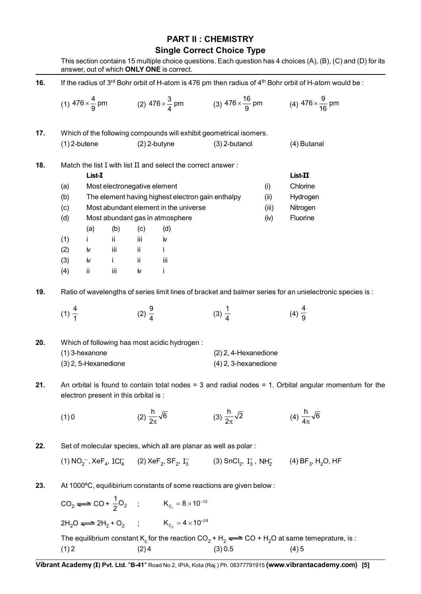#### **PART II : CHEMISTRY Single Correct Choice Type**

|     | This section contains 15 multiple choice questions. Each question has 4 choices (A), (B), (C) and (D) for its<br>answer, out of which ONLY ONE is correct. |                        |                                       |                   |                                                                            |                                                                      |                      |                                                                                                                                                                                                                                    |  |  |  |  |
|-----|------------------------------------------------------------------------------------------------------------------------------------------------------------|------------------------|---------------------------------------|-------------------|----------------------------------------------------------------------------|----------------------------------------------------------------------|----------------------|------------------------------------------------------------------------------------------------------------------------------------------------------------------------------------------------------------------------------------|--|--|--|--|
| 16. |                                                                                                                                                            |                        |                                       |                   |                                                                            |                                                                      |                      | If the radius of 3rd Bohr orbit of H-atom is 476 pm then radius of 4th Bohr orbit of H-atom would be :                                                                                                                             |  |  |  |  |
|     |                                                                                                                                                            |                        |                                       |                   |                                                                            |                                                                      |                      | (1) $476 \times \frac{4}{9}$ pm (2) $476 \times \frac{3}{4}$ pm (3) $476 \times \frac{16}{9}$ pm (4) $476 \times \frac{9}{16}$ pm                                                                                                  |  |  |  |  |
| 17. |                                                                                                                                                            |                        |                                       |                   |                                                                            | Which of the following compounds will exhibit geometrical isomers.   |                      |                                                                                                                                                                                                                                    |  |  |  |  |
|     |                                                                                                                                                            | $(1)$ 2-butene         |                                       |                   | $(2)$ 2-butyne                                                             | $(3)$ 2-butanol                                                      |                      | (4) Butanal                                                                                                                                                                                                                        |  |  |  |  |
| 18. |                                                                                                                                                            | List-I                 |                                       |                   | Match the list I with list II and select the correct answer:               |                                                                      |                      | List-II                                                                                                                                                                                                                            |  |  |  |  |
|     | (a)                                                                                                                                                        |                        | Most electronegative element          |                   |                                                                            |                                                                      | (i)                  | Chlorine                                                                                                                                                                                                                           |  |  |  |  |
|     | (b)                                                                                                                                                        |                        |                                       |                   | The element having highest electron gain enthalpy                          |                                                                      | (ii)                 | Hydrogen                                                                                                                                                                                                                           |  |  |  |  |
|     | (c)                                                                                                                                                        |                        |                                       |                   | Most abundant element in the universe                                      |                                                                      | (iii)                | Nitrogen                                                                                                                                                                                                                           |  |  |  |  |
|     | (d)                                                                                                                                                        |                        |                                       |                   | Most abundant gas in atmosphere                                            |                                                                      | (iv)                 | Fluorine                                                                                                                                                                                                                           |  |  |  |  |
|     |                                                                                                                                                            | (a)                    | (b)                                   | (c)               | (d)                                                                        |                                                                      |                      |                                                                                                                                                                                                                                    |  |  |  |  |
|     | (1)                                                                                                                                                        | İ.                     | ii.                                   | iii               | iv                                                                         |                                                                      |                      |                                                                                                                                                                                                                                    |  |  |  |  |
|     | (2)                                                                                                                                                        | iv                     | iii                                   | ii.               | j.                                                                         |                                                                      |                      |                                                                                                                                                                                                                                    |  |  |  |  |
|     | (3)                                                                                                                                                        | iv                     | i.                                    | ii.               | iii                                                                        |                                                                      |                      |                                                                                                                                                                                                                                    |  |  |  |  |
|     | (4)                                                                                                                                                        | ii                     | iii                                   | iv                | Ť                                                                          |                                                                      |                      |                                                                                                                                                                                                                                    |  |  |  |  |
| 19. |                                                                                                                                                            |                        |                                       |                   |                                                                            |                                                                      |                      | Ratio of wavelengths of series limit lines of bracket and balmer series for an unielectronic species is :                                                                                                                          |  |  |  |  |
|     | $(1)\frac{4}{1}$                                                                                                                                           |                        |                                       | (2) $\frac{9}{4}$ |                                                                            | $(3) \frac{1}{4}$                                                    |                      | (4) $\frac{4}{9}$                                                                                                                                                                                                                  |  |  |  |  |
| 20. |                                                                                                                                                            |                        |                                       |                   | Which of following has most acidic hydrogen:                               |                                                                      |                      |                                                                                                                                                                                                                                    |  |  |  |  |
|     |                                                                                                                                                            | (1) 3-hexanone         |                                       |                   |                                                                            | $(2)$ 2, 4-Hexanedione                                               |                      |                                                                                                                                                                                                                                    |  |  |  |  |
|     |                                                                                                                                                            | $(3)$ 2, 5-Hexanedione |                                       |                   |                                                                            |                                                                      | (4) 2, 3-hexanedione |                                                                                                                                                                                                                                    |  |  |  |  |
| 21. |                                                                                                                                                            |                        | electron present in this orbital is : |                   |                                                                            |                                                                      |                      | An orbital is found to contain total nodes = $3$ and radial nodes = $1$ . Orbital angular momentum for the                                                                                                                         |  |  |  |  |
|     | (1)0                                                                                                                                                       |                        |                                       |                   | (2) $\frac{h}{2\pi}\sqrt{6}$                                               | (3) $\frac{h}{2\pi}\sqrt{2}$                                         |                      | (4) $\frac{h}{4\pi}\sqrt{6}$                                                                                                                                                                                                       |  |  |  |  |
| 22. |                                                                                                                                                            |                        |                                       |                   |                                                                            | Set of molecular species, which all are planar as well as polar :    |                      |                                                                                                                                                                                                                                    |  |  |  |  |
|     |                                                                                                                                                            |                        |                                       |                   |                                                                            |                                                                      |                      | (1) NO <sub>2</sub> <sup>-</sup> , XeF <sub>4</sub> , ICl <sub>4</sub> (2) XeF <sub>2</sub> , SF <sub>2</sub> , I <sub>3</sub> (3) SnCl <sub>2</sub> , I <sub>3</sub> , NH <sub>2</sub> (4) BF <sub>3</sub> , H <sub>2</sub> O, HF |  |  |  |  |
| 23. |                                                                                                                                                            |                        |                                       |                   |                                                                            | At 1000°C, equilibirium constants of some reactions are given below: |                      |                                                                                                                                                                                                                                    |  |  |  |  |
|     |                                                                                                                                                            |                        |                                       |                   | $CO_2 \longrightarrow CO + \frac{1}{2}O_2$ ; $K_{C_1} = 8 \times 10^{-12}$ |                                                                      |                      |                                                                                                                                                                                                                                    |  |  |  |  |
|     |                                                                                                                                                            |                        |                                       |                   | $2H_2O \rightleftharpoons 2H_2 + O_2$ ; $K_{C_2} = 4 \times 10^{-24}$      |                                                                      |                      |                                                                                                                                                                                                                                    |  |  |  |  |

The equilibrium constant K<sub>c</sub> for the reaction  $CO_2 + H_2 \rightleftharpoons CO + H_2O$  at same temeprature, is :  $(1) 2$   $(2) 4$   $(3) 0.5$   $(4) 5$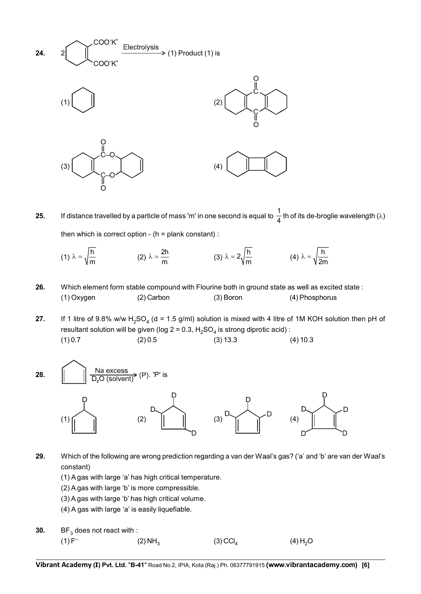

- **25.** If distance travelled by a particle of mass 'm' in one second is equal to  $\frac{1}{4}$  th of its de-broglie wavelength ( $\lambda$ ) then which is correct option -  $(h =$  plank constant $)$ :
	- (1)  $\lambda = \sqrt{\frac{h}{m}}$  (2)  $\lambda = \frac{2h}{m}$  (3)  $\lambda = 2\sqrt{\frac{h}{m}}$  (4)  $\lambda = \sqrt{\frac{h}{2m}}$
- 26. Which element form stable compound with Flourine both in ground state as well as excited state : (1) Oxygen (2) Carbon (3) Boron (4) Phosphorus

**27.** If 1 litre of 9.8% w/w H<sub>2</sub>SO<sub>4</sub> (d = 1.5 g/ml) solution is mixed with 4 litre of 1M KOH solution then pH of resultant solution will be given (log  $2 = 0.3$ ,  $H_2SO_4$  is strong diprotic acid) :  $(1) 0.7$   $(2) 0.5$   $(3) 13.3$   $(4) 10.3$ 



- **29.** Which of the following are wrong prediction regarding a van der Waal's gas? ('a' and 'b' are van der Waal's constant)
	- (1) A gas with large 'a' has high critical temperature.
	- (2) A gas with large 'b' is more compressible.
	- (3) A gas with large 'b' has high critical volume.
	- (4) A gas with large 'a' is easily liquefiable.
- **30.** BF<sub>3</sub> does not react with :<br>(1) F<sup>-</sup> (1) F<sup>–</sup> (2) NH<sub>3</sub> (3) CCl<sub>4</sub> (4) H<sub>2</sub>O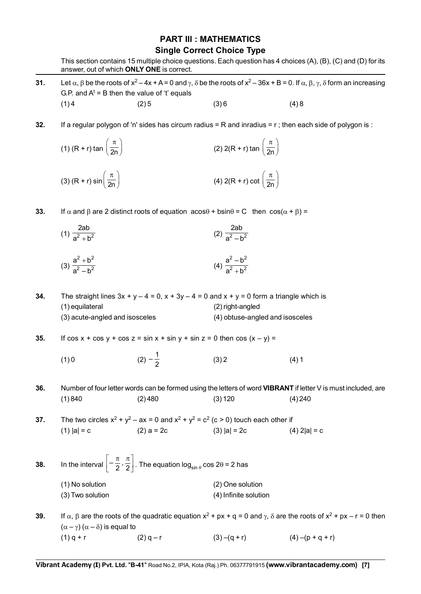#### **PART III : MATHEMATICS Single Correct Choice Type**

|     | answer, out of which ONLY ONE is correct.         |                                                                                                                      |                                                                                                                        | This section contains 15 multiple choice questions. Each question has 4 choices (A), (B), (C) and (D) for its                                                                          |  |  |  |  |  |
|-----|---------------------------------------------------|----------------------------------------------------------------------------------------------------------------------|------------------------------------------------------------------------------------------------------------------------|----------------------------------------------------------------------------------------------------------------------------------------------------------------------------------------|--|--|--|--|--|
| 31. | G.P. and $A^t = B$ then the value of 't' equals   |                                                                                                                      |                                                                                                                        | Let $\alpha$ , $\beta$ be the roots of $x^2 - 4x + A = 0$ and $\gamma$ , $\delta$ be the roots of $x^2 - 36x + B = 0$ . If $\alpha$ , $\beta$ , $\gamma$ , $\delta$ form an increasing |  |  |  |  |  |
|     | (1)4                                              | (2)5                                                                                                                 | (3)6                                                                                                                   | (4)8                                                                                                                                                                                   |  |  |  |  |  |
| 32. |                                                   |                                                                                                                      |                                                                                                                        | If a regular polygon of 'n' sides has circum radius = R and inradius = $r$ ; then each side of polygon is :                                                                            |  |  |  |  |  |
|     | (1) (R + r) tan $\left(\frac{\pi}{2n}\right)$     |                                                                                                                      | (2) 2(R + r) tan $\left(\frac{\pi}{2n}\right)$                                                                         |                                                                                                                                                                                        |  |  |  |  |  |
|     | (3) $(R + r) sin \left( \frac{\pi}{2n} \right)$   |                                                                                                                      | (4) 2(R + r) cot $\left(\frac{\pi}{2n}\right)$                                                                         |                                                                                                                                                                                        |  |  |  |  |  |
| 33. |                                                   |                                                                                                                      | If $\alpha$ and $\beta$ are 2 distinct roots of equation $a\cos\theta + b\sin\theta = C$ then $\cos(\alpha + \beta) =$ |                                                                                                                                                                                        |  |  |  |  |  |
|     | (1) $\frac{2ab}{a^2 + b^2}$                       |                                                                                                                      | (2) $\frac{2ab}{a^2 - h^2}$                                                                                            |                                                                                                                                                                                        |  |  |  |  |  |
|     | (3) $\frac{a^2 + b^2}{a^2 + b^2}$                 |                                                                                                                      | (4) $\frac{a^2-b^2}{a^2+b^2}$                                                                                          |                                                                                                                                                                                        |  |  |  |  |  |
| 34. |                                                   |                                                                                                                      | The straight lines $3x + y - 4 = 0$ , $x + 3y - 4 = 0$ and $x + y = 0$ form a triangle which is                        |                                                                                                                                                                                        |  |  |  |  |  |
|     | (1) equilateral<br>(3) acute-angled and isosceles |                                                                                                                      | (2) right-angled<br>(4) obtuse-angled and isosceles                                                                    |                                                                                                                                                                                        |  |  |  |  |  |
| 35. |                                                   | If $cos x + cos y + cos z = sin x + sin y + sin z = 0$ then $cos (x - y) =$                                          |                                                                                                                        |                                                                                                                                                                                        |  |  |  |  |  |
|     | (1)0                                              | $(2) - \frac{1}{2}$                                                                                                  | (3) 2                                                                                                                  | (4)1                                                                                                                                                                                   |  |  |  |  |  |
| 36. |                                                   |                                                                                                                      |                                                                                                                        | Number of four letter words can be formed using the letters of word VIBRANT if letter V is must included, are                                                                          |  |  |  |  |  |
|     | (1)840                                            | (2)480                                                                                                               | (3) 120                                                                                                                | (4) 240                                                                                                                                                                                |  |  |  |  |  |
| 37. |                                                   | $(2) a = 2c$ $(3)  a  = 2c$                                                                                          | The two circles $x^2 + y^2 - ax = 0$ and $x^2 + y^2 = c^2$ (c > 0) touch each other if                                 |                                                                                                                                                                                        |  |  |  |  |  |
|     | $(1)  a  = c$                                     |                                                                                                                      |                                                                                                                        | $(4)$ 2 a  = c                                                                                                                                                                         |  |  |  |  |  |
| 38. |                                                   | In the interval $\left[-\frac{\pi}{2},\frac{\pi}{2}\right]$ . The equation $\log_{\sin \theta} \cos 2\theta = 2$ has |                                                                                                                        |                                                                                                                                                                                        |  |  |  |  |  |
|     | (1) No solution<br>(3) Two solution               |                                                                                                                      | (2) One solution<br>(4) Infinite solution                                                                              |                                                                                                                                                                                        |  |  |  |  |  |
| 39. |                                                   |                                                                                                                      |                                                                                                                        | If $\alpha$ , $\beta$ are the roots of the quadratic equation $x^2 + px + q = 0$ and $\gamma$ , $\delta$ are the roots of $x^2 + px - r = 0$ then                                      |  |  |  |  |  |

 $(\alpha - \gamma) (\alpha - \delta)$  is equal to (1) q + r (2) q - r (3) –(q + r) (4) –(p + q + r)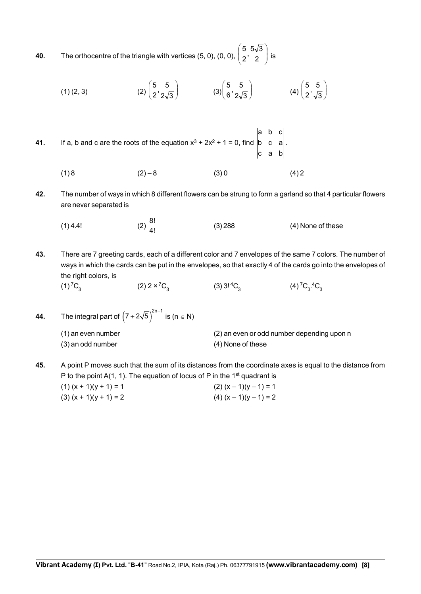**40.** The orthocentre of the triangle with vertices (5, 0), (0, 0),  $\left(\frac{3}{2}, \frac{3\sqrt{3}}{2}\right)$ ø  $\overline{\phantom{a}}$  $\overline{\phantom{a}}$  $\overline{\phantom{0}}$ æ  $\frac{5}{2}, \frac{5\sqrt{3}}{2}$ 5 is

(1) (2, 3)   
 (2) 
$$
\left(\frac{5}{2}, \frac{5}{2\sqrt{3}}\right)
$$
   
 (3)  $\left(\frac{5}{6}, \frac{5}{2\sqrt{3}}\right)$    
 (4)  $\left(\frac{5}{2}, \frac{5}{\sqrt{3}}\right)$ 

- **41.** If a, b and c are the roots of the equation  $x^3 + 2x^2 + 1 = 0$ , find c a b b c a a b c .
	- $(1) 8$   $(2) 8$   $(3) 0$   $(4) 2$
- **42.** The number of ways in which 8 different flowers can be strung to form a garland so that 4 particular flowers are never separated is
	- (1) 4.4! (2)  $\frac{8!}{4!}$ 4! (3) 288 (4) None of these
- **43.** There are 7 greeting cards, each of a different color and 7 envelopes of the same 7 colors. The number of ways in which the cards can be put in the envelopes, so that exactly 4 of the cards go into the envelopes of the right colors, is
	- (1)<sup>7</sup>C<sub>3</sub> (2) 2 × <sup>7</sup>C<sub>3</sub> (3) 3!<sup>4</sup>C<sub>3</sub>  $(4)^{7}C_{3}^{4}C_{3}$

44. The integral part of 
$$
(7 + 2\sqrt{5})^{2n+1}
$$
 is  $(n \in N)$   
(1) an even number  
(3) an odd number  
(4) None of these

**45.** A point P moves such that the sum of its distances from the coordinate axes is equal to the distance from P to the point  $A(1, 1)$ . The equation of locus of P in the 1<sup>st</sup> quadrant is (1)  $(x + 1)(y + 1) = 1$  (2)  $(x - 1)(y - 1) = 1$ (3)  $(x + 1)(y + 1) = 2$  (4)  $(x - 1)(y - 1) = 2$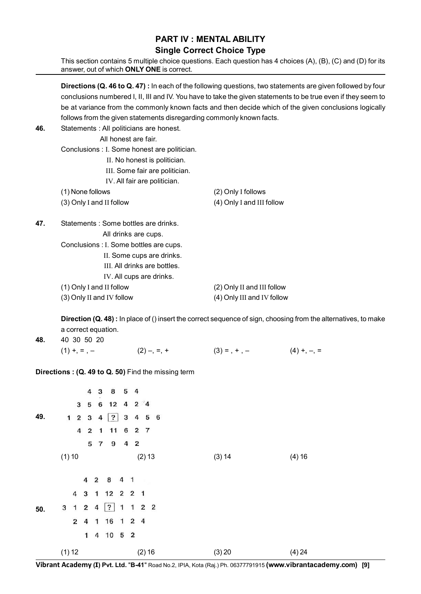#### **PART IV : MENTAL ABILITY Single Correct Choice Type**

This section contains 5 multiple choice questions. Each question has 4 choices (A), (B), (C) and (D) for its answer, out of which **ONLY ONE** is correct.

**Directions (Q. 46 to Q. 47) :** In each of the following questions, two statements are given followed by four conclusions numbered I, II, III and IV. You have to take the given statements to be true even if they seem to be at variance from the commonly known facts and then decide which of the given conclusions logically follows from the given statements disregarding commonly known facts.

| 46. | Statements : All politicians are honest.     |                            |
|-----|----------------------------------------------|----------------------------|
|     | All honest are fair.                         |                            |
|     | Conclusions : I. Some honest are politician. |                            |
|     | II. No honest is politician.                 |                            |
|     | III. Some fair are politician.               |                            |
|     | IV. All fair are politician.                 |                            |
|     | (1) None follows                             | (2) Only I follows         |
|     | (3) Only I and II follow                     | (4) Only I and III follow  |
| 47. | Statements : Some bottles are drinks.        |                            |
|     | All drinks are cups.                         |                            |
|     | Conclusions : I. Some bottles are cups.      |                            |
|     | II. Some cups are drinks.                    |                            |
|     | III. All drinks are bottles.                 |                            |
|     | IV. All cups are drinks.                     |                            |
|     | (1) Only I and II follow                     | (2) Only II and III follow |
|     | (3) Only II and IV follow                    | (4) Only III and IV follow |
|     |                                              |                            |

**Direction (Q. 48)**: In place of () insert the correct sequence of sign, choosing from the alternatives, to make a correct equation.

| 48. 40 30 50 20 |               |                 |               |
|-----------------|---------------|-----------------|---------------|
| $(1) + 0 = -$   | $(2)$ –, =, + | $(3) = , + , -$ | $(4) +, -, =$ |

**Directions : (Q. 49 to Q. 50)** Find the missing term

|     |          |                | 4                       | 3            | 8                        |   | 5 <sub>4</sub> |                     |  |
|-----|----------|----------------|-------------------------|--------------|--------------------------|---|----------------|---------------------|--|
|     |          | $\mathbf{3}$   | 5                       | 6            | 12                       | 4 |                | $2^{\circ}4$        |  |
| 49. |          | $1 \quad 2$    | 3                       | 4            | ?                        | 3 |                | 4 5 6               |  |
|     |          | 4              | $\mathbf{2}$            | $\mathbf{1}$ | 11                       | 6 |                | 2 7                 |  |
|     |          |                |                         |              | 5 7 9                    |   | 4 <sub>2</sub> |                     |  |
|     | $(1)$ 10 |                |                         |              |                          |   |                | (2) 13              |  |
|     |          |                |                         |              |                          |   |                |                     |  |
|     |          |                |                         |              | 4 2 8 4 1                |   |                |                     |  |
|     |          | $\overline{4}$ |                         |              | 3 1 12 2 2 1             |   |                |                     |  |
| 50. |          | $3 \quad 1$    | $\overline{\mathbf{2}}$ | 4            | $\overline{\mathcal{E}}$ | 1 |                | $1 \quad 2 \quad 2$ |  |
|     |          |                | $2\quad 4$              |              | 1 16 1 2 4               |   |                |                     |  |
|     |          |                | 1                       |              | 4 10 5 2                 |   |                |                     |  |
|     | (1) 12   |                |                         |              |                          |   |                | (2) 16              |  |

**Vibrant Academy (I) Pvt. Ltd.** "**B-41**" Road No.2, IPIA, Kota (Raj.) Ph. 06377791915 **(www.vibrantacademy.com) [9]**